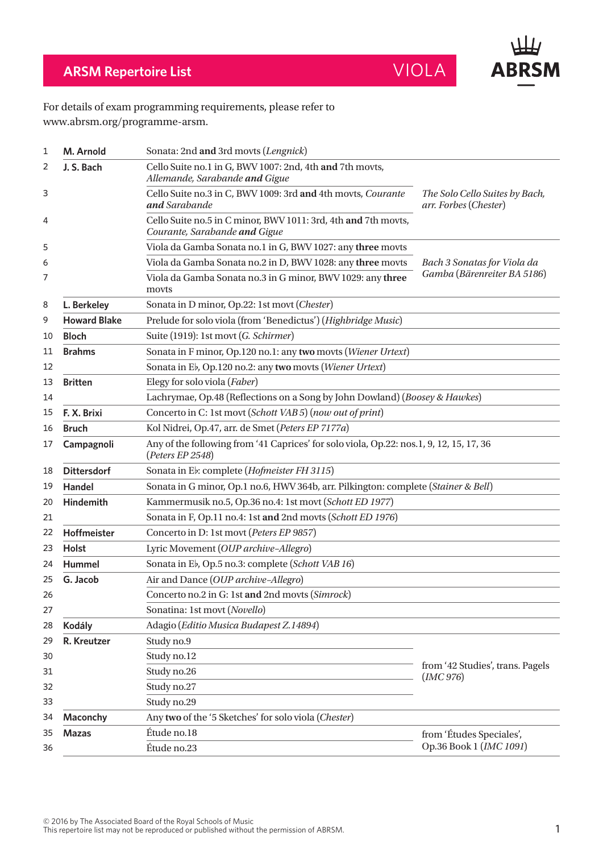

## **ARSM Repertoire List** VIOLA

## For details of exam programming requirements, please refer to www.abrsm.org/programme-arsm.

| 1  | M. Arnold                                                            | Sonata: 2nd and 3rd movts (Lengnick)                                                                        |                                                         |  |
|----|----------------------------------------------------------------------|-------------------------------------------------------------------------------------------------------------|---------------------------------------------------------|--|
| 2  | J. S. Bach                                                           | Cello Suite no.1 in G, BWV 1007: 2nd, 4th and 7th movts,<br>Allemande, Sarabande and Gigue                  |                                                         |  |
| 3  |                                                                      | Cello Suite no.3 in C, BWV 1009: 3rd and 4th movts, Courante<br>and Sarabande                               | The Solo Cello Suites by Bach,<br>arr. Forbes (Chester) |  |
| 4  |                                                                      | Cello Suite no.5 in C minor, BWV 1011: 3rd, 4th and 7th movts,<br>Courante, Sarabande and Gigue             |                                                         |  |
| 5  |                                                                      | Viola da Gamba Sonata no.1 in G, BWV 1027: any three movts                                                  |                                                         |  |
| 6  |                                                                      | Viola da Gamba Sonata no.2 in D, BWV 1028: any three movts                                                  | Bach 3 Sonatas for Viola da                             |  |
| 7  |                                                                      | Viola da Gamba Sonata no.3 in G minor, BWV 1029: any three<br>movts                                         | Gamba (Bärenreiter BA 5186)                             |  |
| 8  | L. Berkeley                                                          | Sonata in D minor, Op.22: 1st movt (Chester)                                                                |                                                         |  |
| 9  | <b>Howard Blake</b>                                                  | Prelude for solo viola (from 'Benedictus') (Highbridge Music)                                               |                                                         |  |
| 10 | <b>Bloch</b>                                                         | Suite (1919): 1st movt (G. Schirmer)                                                                        |                                                         |  |
| 11 | <b>Brahms</b>                                                        | Sonata in F minor, Op.120 no.1: any two movts (Wiener Urtext)                                               |                                                         |  |
| 12 |                                                                      | Sonata in Eb, Op.120 no.2: any two movts (Wiener Urtext)                                                    |                                                         |  |
| 13 | <b>Britten</b>                                                       | Elegy for solo viola (Faber)                                                                                |                                                         |  |
| 14 |                                                                      | Lachrymae, Op.48 (Reflections on a Song by John Dowland) (Boosey & Hawkes)                                  |                                                         |  |
| 15 | F. X. Brixi                                                          | Concerto in C: 1st movt (Schott VAB 5) (now out of print)                                                   |                                                         |  |
| 16 | <b>Bruch</b>                                                         | Kol Nidrei, Op.47, arr. de Smet (Peters EP 7177a)                                                           |                                                         |  |
| 17 | Campagnoli                                                           | Any of the following from '41 Caprices' for solo viola, Op.22: nos.1, 9, 12, 15, 17, 36<br>(Peters EP 2548) |                                                         |  |
| 18 | <b>Dittersdorf</b>                                                   | Sonata in Eb: complete (Hofmeister FH 3115)                                                                 |                                                         |  |
| 19 | Handel                                                               | Sonata in G minor, Op.1 no.6, HWV 364b, arr. Pilkington: complete (Stainer & Bell)                          |                                                         |  |
| 20 | Kammermusik no.5, Op.36 no.4: 1st movt (Schott ED 1977)<br>Hindemith |                                                                                                             |                                                         |  |
| 21 |                                                                      | Sonata in F, Op.11 no.4: 1st and 2nd movts (Schott ED 1976)                                                 |                                                         |  |
| 22 | Hoffmeister                                                          | Concerto in D: 1st movt (Peters EP 9857)                                                                    |                                                         |  |
| 23 | <b>Holst</b>                                                         | Lyric Movement (OUP archive-Allegro)                                                                        |                                                         |  |
| 24 | Hummel                                                               | Sonata in Eb, Op.5 no.3: complete (Schott VAB 16)                                                           |                                                         |  |
| 25 | G. Jacob                                                             | Air and Dance (OUP archive-Allegro)                                                                         |                                                         |  |
| 26 |                                                                      | Concerto no.2 in G: 1st and 2nd movts (Simrock)                                                             |                                                         |  |
| 27 |                                                                      | Sonatina: 1st movt (Novello)                                                                                |                                                         |  |
| 28 | Kodály                                                               | Adagio (Editio Musica Budapest Z.14894)                                                                     |                                                         |  |
| 29 | R. Kreutzer                                                          | Study no.9                                                                                                  |                                                         |  |
| 30 |                                                                      | Study no.12                                                                                                 |                                                         |  |
| 31 |                                                                      | Study no.26                                                                                                 | from '42 Studies', trans. Pagels<br>IMC 976             |  |
| 32 |                                                                      | Study no.27                                                                                                 |                                                         |  |
| 33 |                                                                      | Study no.29                                                                                                 |                                                         |  |
| 34 | Maconchy                                                             | Any two of the '5 Sketches' for solo viola (Chester)                                                        |                                                         |  |
| 35 | <b>Mazas</b>                                                         | Étude no.18                                                                                                 | from 'Études Speciales',                                |  |
| 36 |                                                                      | Étude no.23                                                                                                 | Op.36 Book 1 (IMC 1091)                                 |  |